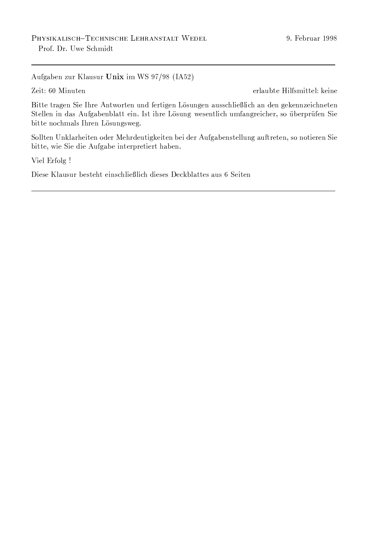Aufgaben zur Klausur Unix im WS 97/98 (IA52)

Zeit: 60 Minuten

erlaubte Hilfsmittel: keine

Bitte tragen Sie Ihre Antworten und fertigen Lösungen ausschließlich an den gekennzeichneten Stellen in das Aufgabenblatt ein. Ist ihre Lösung wesentlich umfangreicher, so überprüfen Sie bitte nochmals Ihren Lösungsweg.

Sollten Unklarheiten oder Mehrdeutigkeiten bei der Aufgabenstellung auftreten, so notieren Sie bitte, wie Sie die Aufgabe interpretiert haben.

Viel Erfolg !

Diese Klausur besteht einschließlich dieses Deckblattes aus 6 Seiten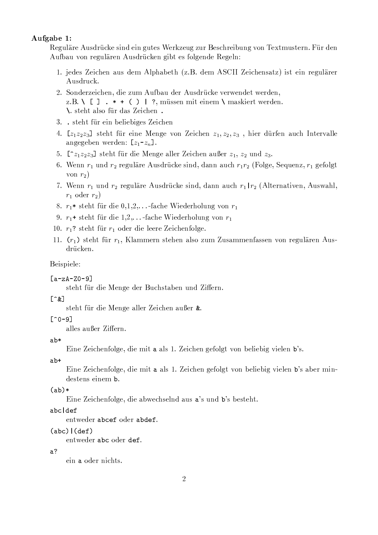# Aufgabe 1:

Reguläre Ausdrücke sind ein gutes Werkzeug zur Beschreibung von Textmustern. Für den Aufbau von regulären Ausdrücken gibt es folgende Regeln:

- 1. jedes Zeichen aus dem Alphabeth (z.B. dem ASCII Zeichensatz) ist ein regulärer Ausdruck.
- 2. Sonderzeichen, die zum Aufbau der Ausdrücke verwendet werden, z.B. \[].  $*$  + () | ?, müssen mit einem \ maskiert werden. \ steht also für das Zeichen.
- 3. steht für ein beliebiges Zeichen
- 4.  $[z_1z_2z_3]$  steht für eine Menge von Zeichen  $z_1, z_2, z_3$ , hier dürfen auch Intervalle angegeben werden:  $[z_1-z_n]$ .
- 5.  $[z_1z_1z_2z_3]$  steht für die Menge aller Zeichen außer  $z_1, z_2$  und  $z_3$ .
- 6. Wenn  $r_1$  und  $r_2$  reguläre Ausdrücke sind, dann auch  $r_1r_2$  (Folge, Sequenz,  $r_1$  gefolgt von  $r_2$ )
- 7. Wenn  $r_1$  und  $r_2$  reguläre Ausdrücke sind, dann auch  $r_1 | r_2$  (Alternativen, Auswahl,  $r_1$  oder  $r_2$ )
- 8.  $r_1$ \* steht für die 0,1,2,...-fache Wiederholung von  $r_1$
- 9.  $r_1$ + steht für die 1,2,...-fache Wiederholung von  $r_1$
- 10.  $r_1$ ? steht für  $r_1$  oder die leere Zeichenfolge.
- 11.  $(r_1)$  steht für  $r_1$ , Klammern stehen also zum Zusammenfassen von regulären Ausdrücken.

### Beispiele:

 $[a-zA-Z0-9]$ 

steht für die Menge der Buchstaben und Ziffern.

# $[\hat{z}]$

steht für die Menge aller Zeichen außer &.

# $\lceil 0 - 9 \rceil$

alles außer Ziffern.

### $ab*$

Eine Zeichenfolge, die mit a als 1. Zeichen gefolgt von beliebig vielen b's.

 $ab+$ 

Eine Zeichenfolge, die mit a als 1. Zeichen gefolgt von beliebig vielen b's aber mindestens einem b.

### $(ab)*$

Eine Zeichenfolge, die abwechselnd aus a's und b's besteht.

# abcldef

entweder abcef oder abdef.

### $(abc)$   $(def)$

entweder abc oder def.

### $a<sup>2</sup>$

ein a oder nichts.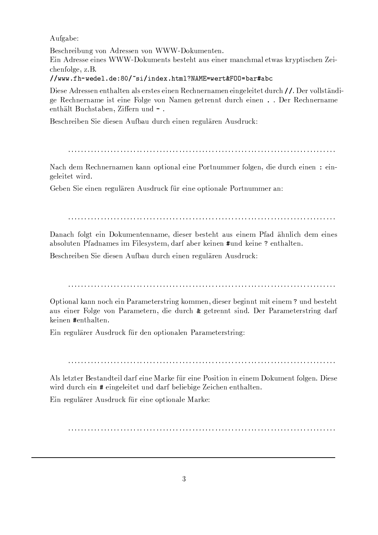Aufgabe:

Beschreibung von Adressen von WWW-Dokumenten. Ein Adresse eines WWW-Dokuments besteht aus einer manchmal etwas kryptischen Zeichenfolge, z.B.

//www.fh-wedel.de:80/~si/index.html?NAME=wert&F00=bar#abc

Diese Adressen enthalten als erstes einen Rechnernamen eingeleitet durch //. Der vollständige Rechnername ist eine Folge von Namen getrennt durch einen . . Der Rechnername enthält Buchstaben. Ziffern und -.

Beschreiben Sie diesen Aufbau durch einen regulären Ausdruck:

Nach dem Rechnernamen kann optional eine Portnummer folgen, die durch einen : eingeleitet wird.

Geben Sie einen regulären Ausdruck für eine optionale Portnummer an:

Danach folgt ein Dokumentenname, dieser besteht aus einem Pfad ähnlich dem eines absoluten Pfadnames im Filesystem, darf aber keinen #und keine ? enthalten.

Beschreiben Sie diesen Aufbau durch einen regulären Ausdruck:

Optional kann noch ein Parameterstring kommen, dieser beginnt mit einem ? und besteht aus einer Folge von Parametern, die durch & getrennt sind. Der Parameterstring darf keinen #enthalten.

Ein regulärer Ausdruck für den optionalen Parameterstring:

Als letzter Bestandteil darf eine Marke für eine Position in einem Dokument folgen. Diese wird durch ein # eingeleitet und darf beliebige Zeichen enthalten.

Ein regulärer Ausdruck für eine optionale Marke: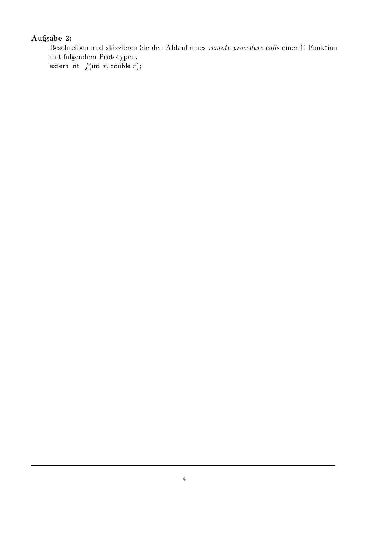# Aufgabe 2:

Beschreiben und skizzieren Sie den Ablauf eines remote procedure calls einer C Funktion  $\operatorname{mit}$  folgendem Prototypen.

extern int  $f(int x, double r);$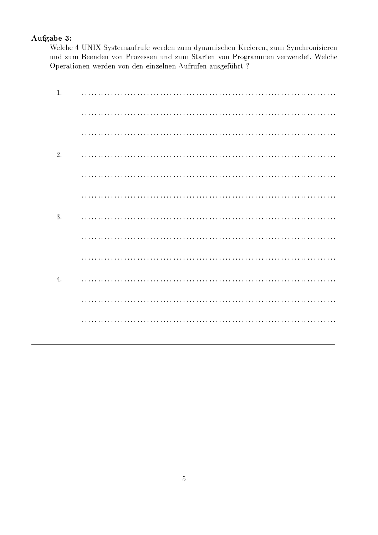# Aufgabe 3:

Welche 4 UNIX Systemaufrufe werden zum dynamischen Kreieren, zum Synchronisieren und zum Beenden von Prozessen und zum Starten von Programmen verwendet. Welche Operationen werden von den einzelnen Aufrufen ausgeführt ?

| 1. |  |
|----|--|
|    |  |
|    |  |
| 2. |  |
|    |  |
|    |  |
| 3. |  |
|    |  |
|    |  |
| 4. |  |
|    |  |
|    |  |